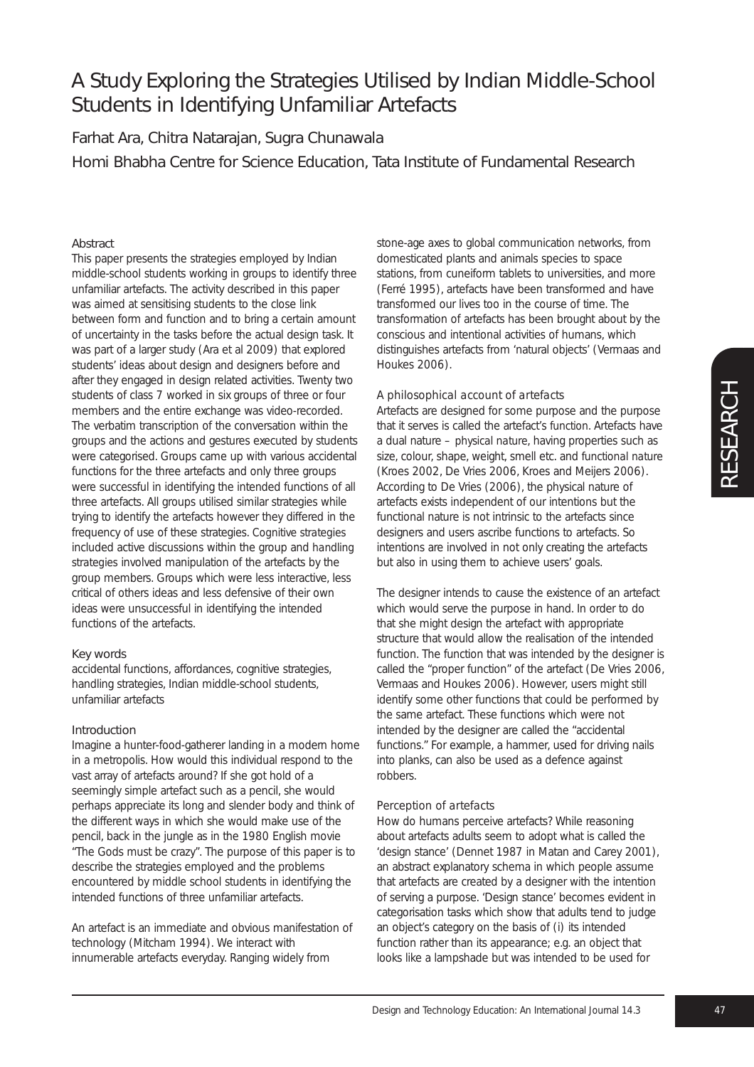Farhat Ara, Chitra Natarajan, Sugra Chunawala Homi Bhabha Centre for Science Education, Tata Institute of Fundamental Research

## Abstract

This paper presents the strategies employed by Indian middle-school students working in groups to identify three unfamiliar artefacts. The activity described in this paper was aimed at sensitising students to the close link between form and function and to bring a certain amount of uncertainty in the tasks before the actual design task. It was part of a larger study (Ara et al 2009) that explored students' ideas about design and designers before and after they engaged in design related activities. Twenty two students of class 7 worked in six groups of three or four members and the entire exchange was video-recorded. The verbatim transcription of the conversation within the groups and the actions and gestures executed by students were categorised. Groups came up with various accidental functions for the three artefacts and only three groups were successful in identifying the intended functions of all three artefacts. All groups utilised similar strategies while trying to identify the artefacts however they differed in the frequency of use of these strategies. *Cognitive strategies* included active discussions within the group and *handling strategies* involved manipulation of the artefacts by the group members. Groups which were less interactive, less critical of others ideas and less defensive of their own ideas were unsuccessful in identifying the intended functions of the artefacts.

## Key words

accidental functions, affordances, cognitive strategies, handling strategies, Indian middle-school students, unfamiliar artefacts

## Introduction

Imagine a hunter-food-gatherer landing in a modern home in a metropolis. How would this individual respond to the vast array of artefacts around? If she got hold of a seemingly simple artefact such as a pencil, she would perhaps appreciate its long and slender body and think of the different ways in which she would make use of the pencil, back in the jungle as in the 1980 English movie "The Gods must be crazy". The purpose of this paper is to describe the strategies employed and the problems encountered by middle school students in identifying the intended functions of three unfamiliar artefacts.

An artefact is an immediate and obvious manifestation of technology (Mitcham 1994). We interact with innumerable artefacts everyday. Ranging widely from

stone-age axes to global communication networks, from domesticated plants and animals species to space stations, from cuneiform tablets to universities, and more (Ferré 1995), artefacts have been transformed and have transformed our lives too in the course of time. The transformation of artefacts has been brought about by the conscious and intentional activities of humans, which distinguishes artefacts from 'natural objects' (Vermaas and Houkes 2006).

### *A philosophical account of artefacts*

Artefacts are designed for some purpose and the purpose that it serves is called the artefact's *function*. Artefacts have a dual nature – *physical nature*, having properties such as size, colour, shape, weight, smell etc. and *functional nature* (Kroes 2002, De Vries 2006, Kroes and Meijers 2006). According to De Vries (2006), the physical nature of artefacts exists independent of our intentions but the functional nature is not intrinsic to the artefacts since designers and users ascribe functions to artefacts. So intentions are involved in not only creating the artefacts but also in using them to achieve users' goals.

The designer intends to cause the existence of an artefact which would serve the purpose in hand. In order to do that she might design the artefact with appropriate structure that would allow the realisation of the intended function. The function that was intended by the designer is called the "proper function" of the artefact (De Vries 2006, Vermaas and Houkes 2006). However, users might still identify some other functions that could be performed by the same artefact. These functions which were not intended by the designer are called the "accidental functions." For example, a hammer, used for driving nails into planks, can also be used as a defence against robbers.

## *Perception of artefacts*

How do humans perceive artefacts? While reasoning about artefacts adults seem to adopt what is called the 'design stance' (Dennet 1987 in Matan and Carey 2001), an abstract explanatory schema in which people assume that artefacts are created by a designer with the intention of serving a purpose. 'Design stance' becomes evident in categorisation tasks which show that adults tend to judge an object's category on the basis of (i) its intended function rather than its appearance; e.g. an object that looks like a lampshade but was intended to be used for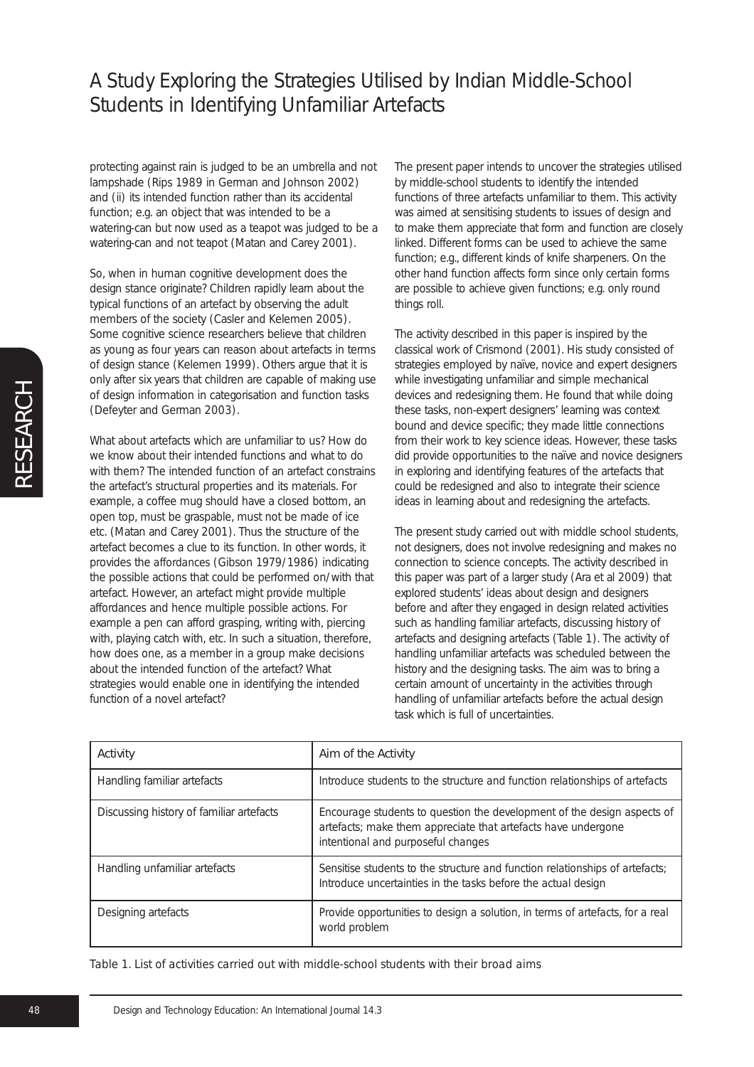protecting against rain is judged to be an umbrella and not lampshade (Rips 1989 in German and Johnson 2002) and (ii) its intended function rather than its accidental function; e.g. an object that was intended to be a watering-can but now used as a teapot was judged to be a watering-can and not teapot (Matan and Carey 2001).

So, when in human cognitive development does the design stance originate? Children rapidly learn about the typical functions of an artefact by observing the adult members of the society (Casler and Kelemen 2005). Some cognitive science researchers believe that children as young as four years can reason about artefacts in terms of design stance (Kelemen 1999). Others argue that it is only after six years that children are capable of making use of design information in categorisation and function tasks (Defeyter and German 2003).

What about artefacts which are unfamiliar to us? How do we know about their intended functions and what to do with them? The intended function of an artefact constrains the artefact's structural properties and its materials. For example, a coffee mug should have a closed bottom, an open top, must be graspable, must not be made of ice etc. (Matan and Carey 2001). Thus the structure of the artefact becomes a clue to its function. In other words, it provides the *affordances* (Gibson 1979/1986) indicating the possible actions that could be performed on/with that artefact. However, an artefact might provide multiple affordances and hence multiple possible actions. For example a pen can afford grasping, writing with, piercing with, playing catch with, etc. In such a situation, therefore, how does one, as a member in a group make decisions about the intended function of the artefact? What strategies would enable one in identifying the intended function of a novel artefact?

The present paper intends to uncover the strategies utilised by middle-school students to identify the intended functions of three artefacts unfamiliar to them. This activity was aimed at sensitising students to issues of design and to make them appreciate that form and function are closely linked. Different forms can be used to achieve the same function; e.g., different kinds of knife sharpeners. On the other hand function affects form since only certain forms are possible to achieve given functions; e.g. only round things roll.

The activity described in this paper is inspired by the classical work of Crismond (2001). His study consisted of strategies employed by naïve, novice and expert designers while investigating unfamiliar and simple mechanical devices and redesigning them. He found that while doing these tasks, non-expert designers' learning was context bound and device specific; they made little connections from their work to key science ideas. However, these tasks did provide opportunities to the naïve and novice designers in exploring and identifying features of the artefacts that could be redesigned and also to integrate their science ideas in learning about and redesigning the artefacts.

The present study carried out with middle school students, not designers, does not involve redesigning and makes no connection to science concepts. The activity described in this paper was part of a larger study (Ara et al 2009) that explored students' ideas about design and designers before and after they engaged in design related activities such as handling familiar artefacts, discussing history of artefacts and designing artefacts (Table 1). The activity of handling unfamiliar artefacts was scheduled between the history and the designing tasks. The aim was to bring a certain amount of uncertainty in the activities through handling of unfamiliar artefacts before the actual design task which is full of uncertainties.

| Activity                                 | Aim of the Activity                                                                                                                                                            |
|------------------------------------------|--------------------------------------------------------------------------------------------------------------------------------------------------------------------------------|
| Handling familiar artefacts              | Introduce students to the structure and function relationships of artefacts                                                                                                    |
| Discussing history of familiar artefacts | Encourage students to question the development of the design aspects of<br>artefacts; make them appreciate that artefacts have undergone<br>intentional and purposeful changes |
| Handling unfamiliar artefacts            | Sensitise students to the structure and function relationships of artefacts;<br>Introduce uncertainties in the tasks before the actual design                                  |
| Designing artefacts                      | Provide opportunities to design a solution, in terms of artefacts, for a real<br>world problem                                                                                 |

*Table 1. List of activities carried out with middle-school students with their broad aims*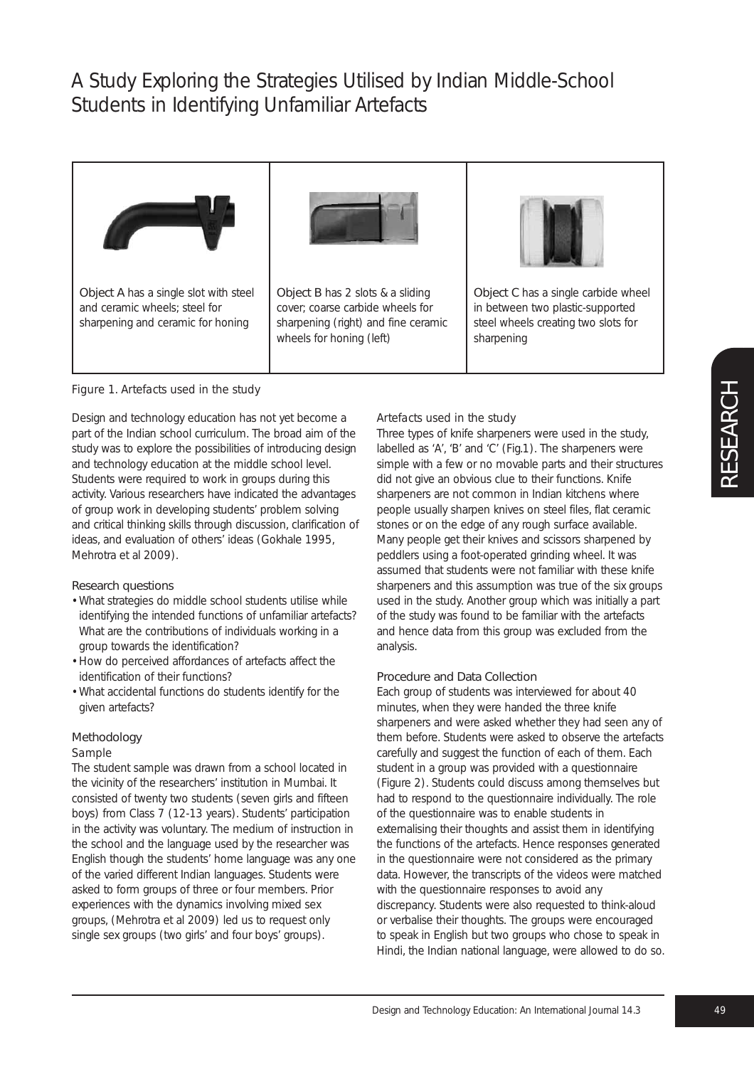



Object B has 2 slots & a sliding cover; coarse carbide wheels for sharpening (right) and fine ceramic wheels for honing (left)



Object C has a single carbide wheel in between two plastic-supported steel wheels creating two slots for sharpening

## *Figure 1. Artefacts used in the study*

Design and technology education has not yet become a part of the Indian school curriculum. The broad aim of the study was to explore the possibilities of introducing design and technology education at the middle school level. Students were required to work in groups during this activity. Various researchers have indicated the advantages of group work in developing students' problem solving and critical thinking skills through discussion, clarification of ideas, and evaluation of others' ideas (Gokhale 1995, Mehrotra et al 2009).

### Research questions

- What strategies do middle school students utilise while identifying the intended functions of unfamiliar artefacts? What are the contributions of individuals working in a group towards the identification?
- How do perceived affordances of artefacts affect the identification of their functions?
- What accidental functions do students identify for the given artefacts?

### Methodology

#### *Sample*

The student sample was drawn from a school located in the vicinity of the researchers' institution in Mumbai. It consisted of twenty two students (seven girls and fifteen boys) from Class 7 (12-13 years). Students' participation in the activity was voluntary. The medium of instruction in the school and the language used by the researcher was English though the students' home language was any one of the varied different Indian languages. Students were asked to form groups of three or four members. Prior experiences with the dynamics involving mixed sex groups, (Mehrotra et al 2009) led us to request only single sex groups (two girls' and four boys' groups).

### *Artefacts used in the study*

Three types of knife sharpeners were used in the study, labelled as 'A', 'B' and 'C' (Fig.1). The sharpeners were simple with a few or no movable parts and their structures did not give an obvious clue to their functions. Knife sharpeners are not common in Indian kitchens where people usually sharpen knives on steel files, flat ceramic stones or on the edge of any rough surface available. Many people get their knives and scissors sharpened by peddlers using a foot-operated grinding wheel. It was assumed that students were not familiar with these knife sharpeners and this assumption was true of the six groups used in the study. Another group which was initially a part of the study was found to be familiar with the artefacts and hence data from this group was excluded from the analysis.

#### Procedure and Data Collection

Each group of students was interviewed for about 40 minutes, when they were handed the three knife sharpeners and were asked whether they had seen any of them before. Students were asked to observe the artefacts carefully and suggest the function of each of them. Each student in a group was provided with a questionnaire (Figure 2). Students could discuss among themselves but had to respond to the questionnaire individually. The role of the questionnaire was to enable students in externalising their thoughts and assist them in identifying the functions of the artefacts. Hence responses generated in the questionnaire were not considered as the primary data. However, the transcripts of the videos were matched with the questionnaire responses to avoid any discrepancy. Students were also requested to think-aloud or verbalise their thoughts. The groups were encouraged to speak in English but two groups who chose to speak in Hindi, the Indian national language, were allowed to do so.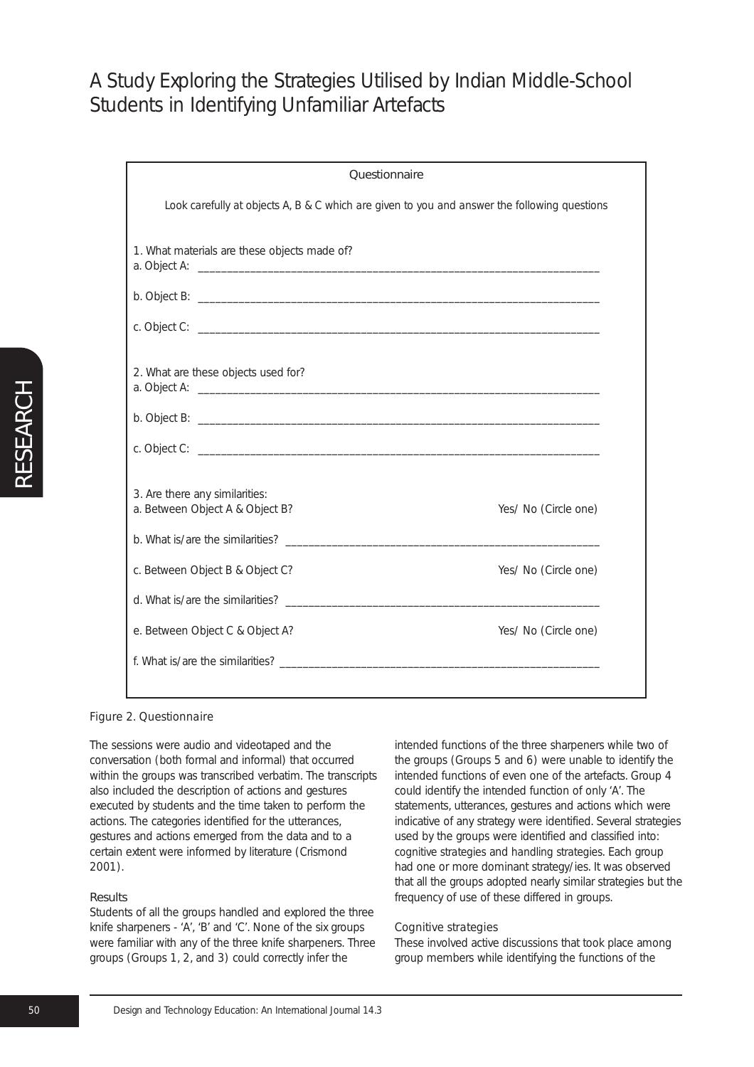| <b>Questionnaire</b>                                                                         |                      |
|----------------------------------------------------------------------------------------------|----------------------|
| Look carefully at objects A, B & C which are given to you and answer the following questions |                      |
| 1. What materials are these objects made of?                                                 |                      |
|                                                                                              |                      |
|                                                                                              |                      |
| 2. What are these objects used for?                                                          |                      |
|                                                                                              |                      |
|                                                                                              |                      |
| 3. Are there any similarities:<br>a. Between Object A & Object B?                            | Yes/ No (Circle one) |
| b. What is/are the similarities?                                                             |                      |
| c. Between Object B & Object C?                                                              | Yes/ No (Circle one) |
|                                                                                              |                      |
| e. Between Object C & Object A?                                                              | Yes/ No (Circle one) |
|                                                                                              |                      |

## *Figure 2. Questionnaire*

The sessions were audio and videotaped and the conversation (both formal and informal) that occurred within the groups was transcribed verbatim. The transcripts also included the description of actions and gestures executed by students and the time taken to perform the actions. The categories identified for the utterances, gestures and actions emerged from the data and to a certain extent were informed by literature (Crismond 2001).

### Results

Students of all the groups handled and explored the three knife sharpeners - 'A', 'B' and 'C'. None of the six groups were familiar with any of the three knife sharpeners. Three groups (Groups 1, 2, and 3) could correctly infer the

intended functions of the three sharpeners while two of the groups (Groups 5 and 6) were unable to identify the intended functions of even one of the artefacts. Group 4 could identify the intended function of only 'A'. The statements, utterances, gestures and actions which were indicative of any strategy were identified. Several strategies used by the groups were identified and classified into: *cognitive strategies* and *handling strategies*. Each group had one or more dominant strategy/ies. It was observed that all the groups adopted nearly similar strategies but the frequency of use of these differed in groups.

#### *Cognitive strategies*

These involved active discussions that took place among group members while identifying the functions of the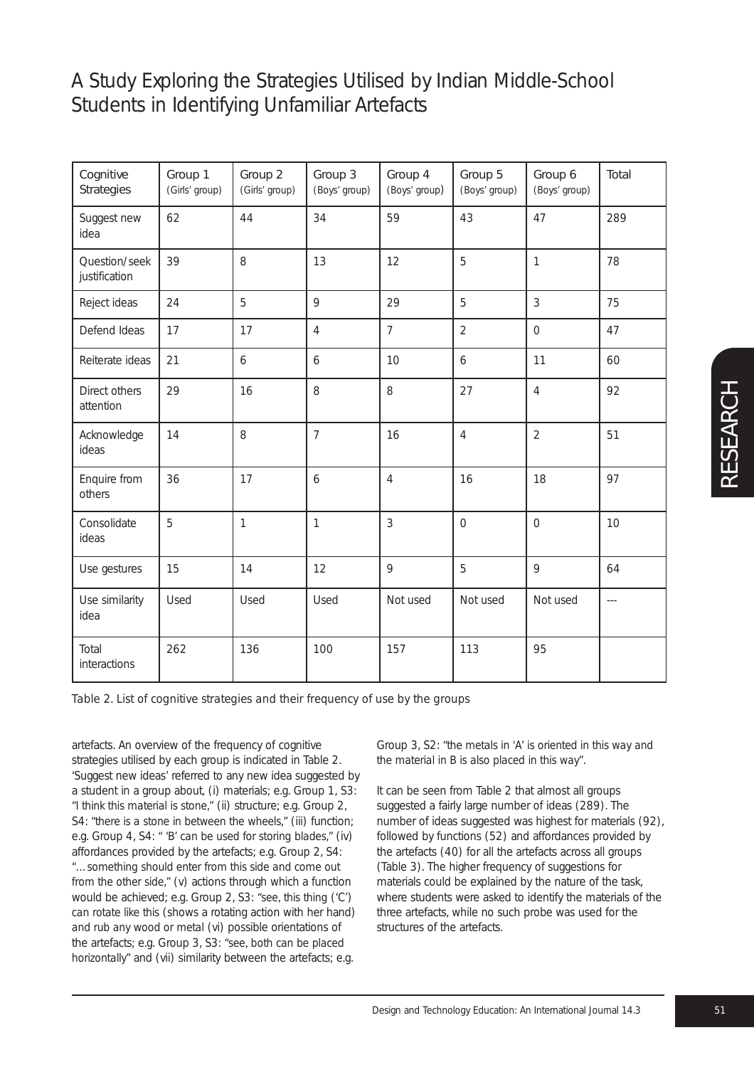| Cognitive<br>Strategies        | Group 1<br>(Girls' group) | Group 2<br>(Girls' group) | Group 3<br>(Boys' group) | Group 4<br>(Boys' group) | Group 5<br>(Boys' group) | Group 6<br>(Boys' group) | Total |
|--------------------------------|---------------------------|---------------------------|--------------------------|--------------------------|--------------------------|--------------------------|-------|
| Suggest new<br>idea            | 62                        | 44                        | 34                       | 59                       | 43                       | 47                       | 289   |
| Question/seek<br>justification | 39                        | 8                         | 13                       | 12                       | 5                        | $\overline{1}$           | 78    |
| Reject ideas                   | 24                        | 5                         | 9                        | 29                       | 5                        | 3                        | 75    |
| Defend Ideas                   | 17                        | 17                        | 4                        | $\overline{7}$           | $\overline{2}$           | $\overline{O}$           | 47    |
| Reiterate ideas                | 21                        | 6                         | 6                        | 10                       | 6                        | 11                       | 60    |
| Direct others<br>attention     | 29                        | 16                        | 8                        | 8                        | 27                       | $\overline{4}$           | 92    |
| Acknowledge<br>ideas           | 14                        | 8                         | $\overline{7}$           | 16                       | $\overline{4}$           | $\overline{2}$           | 51    |
| Enquire from<br>others         | 36                        | 17                        | 6                        | $\overline{4}$           | 16                       | 18                       | 97    |
| Consolidate<br>ideas           | 5                         | $\mathbf{1}$              | 1                        | 3                        | $\overline{O}$           | $\overline{O}$           | 10    |
| Use gestures                   | 15                        | 14                        | 12                       | 9                        | 5                        | 9                        | 64    |
| Use similarity<br>idea         | Used                      | Used                      | Used                     | Not used                 | Not used                 | Not used                 | $---$ |
| Total<br>interactions          | 262                       | 136                       | 100                      | 157                      | 113                      | 95                       |       |

*Table 2. List of cognitive strategies and their frequency of use by the groups*

artefacts. An overview of the frequency of cognitive strategies utilised by each group is indicated in Table 2. 'Suggest new ideas' referred to any new idea suggested by a student in a group about, (i) materials; e.g. Group 1, S3: *"I think this material is stone,"* (ii) structure; e.g. Group 2, S4: *"there is a stone in between the wheels,"* (iii) function; e.g. Group 4, S4: *" 'B' can be used for storing blades,"* (iv) affordances provided by the artefacts; e.g. Group 2, S4: *"…something should enter from this side and come out from the other side,"* (v) actions through which a function would be achieved; e.g. Group 2, S3: *"see, this thing* ('C') *can rotate like this* (shows a rotating action with her hand) *and rub any wood or metal* (vi) possible orientations of the artefacts; e.g. Group 3, S3: *"see, both can be placed horizontally"* and (vii) similarity between the artefacts; e.g.

Group 3, S2: *"the metals in 'A' is oriented in this way and the material in B is also placed in this way"*.

It can be seen from Table 2 that almost all groups suggested a fairly large number of ideas (289). The number of ideas suggested was highest for materials (92), followed by functions (52) and affordances provided by the artefacts (40) for all the artefacts across all groups (Table 3). The higher frequency of suggestions for materials could be explained by the nature of the task, where students were asked to identify the materials of the three artefacts, while no such probe was used for the structures of the artefacts.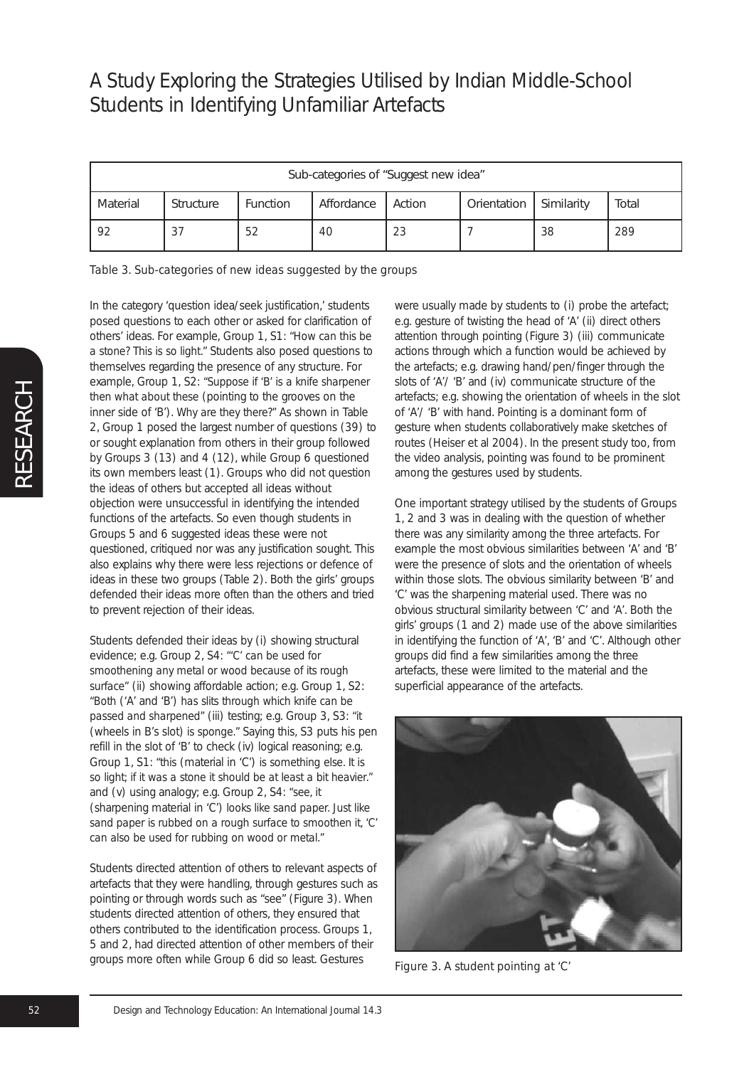| Sub-categories of "Suggest new idea" |           |                 |            |        |             |            |       |
|--------------------------------------|-----------|-----------------|------------|--------|-------------|------------|-------|
| Material                             | Structure | <b>Function</b> | Affordance | Action | Orientation | Similarity | Total |
| 92                                   |           | 52              | 40         | 23     |             | 38         | 289   |

*Table 3. Sub-categories of new ideas suggested by the groups*

In the category 'question idea/seek justification,' students posed questions to each other or asked for clarification of others' ideas. For example, Group 1, S1: *"How can this be a stone? This is so light."* Students also posed questions to themselves regarding the presence of any structure. For example, Group 1, S2: *"Suppose if 'B' is a knife sharpener then what about these* (pointing to the grooves on the inner side of 'B'). *Why are they there?"* As shown in Table 2, Group 1 posed the largest number of questions (39) to or sought explanation from others in their group followed by Groups 3 (13) and 4 (12), while Group 6 questioned its own members least (1). Groups who did not question the ideas of others but accepted all ideas without objection were unsuccessful in identifying the intended functions of the artefacts. So even though students in Groups 5 and 6 suggested ideas these were not questioned, critiqued nor was any justification sought. This also explains why there were less rejections or defence of ideas in these two groups (Table 2). Both the girls' groups defended their ideas more often than the others and tried to prevent rejection of their ideas.

Students defended their ideas by (i) showing structural evidence; e.g. Group 2, S4: *"'C' can be used for smoothening any metal or wood because of its rough surface"* (ii) showing affordable action; e.g. Group 1, S2: *"Both* ('A' and 'B') *has slits through which knife can be passed and sharpened"* (iii) testing; e.g. Group 3, S3: *"it* (wheels in B's slot) *is sponge."* Saying this, S3 puts his pen refill in the slot of 'B' to check (iv) logical reasoning; e.g. Group 1, S1: *"this* (material in 'C') *is something else. It is so light; if it was a stone it should be at least a bit heavier."* and (v) using analogy; e.g. Group 2, S4: *"see, it* (sharpening material in 'C') *looks like sand paper. Just like sand paper is rubbed on a rough surface to smoothen it, 'C' can also be used for rubbing on wood or metal."*

Students directed attention of others to relevant aspects of artefacts that they were handling, through gestures such as pointing or through words such as "see" (Figure 3). When students directed attention of others, they ensured that others contributed to the identification process. Groups 1, 5 and 2, had directed attention of other members of their groups more often while Group 6 did so least. Gestures

were usually made by students to (i) probe the artefact; e.g. gesture of twisting the head of 'A' (ii) direct others attention through pointing (Figure 3) (iii) communicate actions through which a function would be achieved by the artefacts; e.g. drawing hand/pen/finger through the slots of 'A'/ 'B' and (iv) communicate structure of the artefacts; e.g. showing the orientation of wheels in the slot of 'A'/ 'B' with hand. Pointing is a dominant form of gesture when students collaboratively make sketches of routes (Heiser et al 2004). In the present study too, from the video analysis, pointing was found to be prominent among the gestures used by students.

One important strategy utilised by the students of Groups 1, 2 and 3 was in dealing with the question of whether there was any similarity among the three artefacts. For example the most obvious similarities between 'A' and 'B' were the presence of slots and the orientation of wheels within those slots. The obvious similarity between 'B' and 'C' was the sharpening material used. There was no obvious structural similarity between 'C' and 'A'. Both the girls' groups (1 and 2) made use of the above similarities in identifying the function of 'A', 'B' and 'C'. Although other groups did find a few similarities among the three artefacts, these were limited to the material and the superficial appearance of the artefacts.



*Figure 3. A student pointing at 'C'*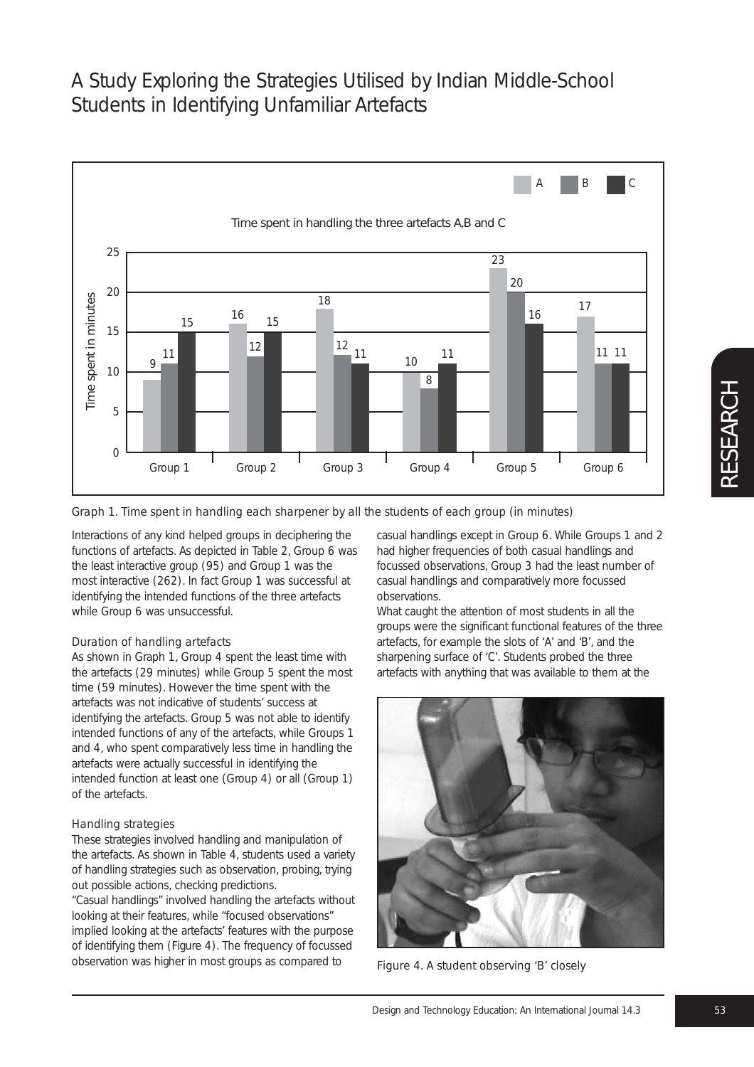

*Graph 1. Time spent in handling each sharpener by all the students of each group (in minutes)*

Interactions of any kind helped groups in deciphering the functions of artefacts. As depicted in Table 2, Group 6 was the least interactive group (95) and Group 1 was the most interactive (262). In fact Group 1 was successful at identifying the intended functions of the three artefacts while Group 6 was unsuccessful.

## *Duration of handling artefacts*

As shown in Graph 1, Group 4 spent the least time with the artefacts (29 minutes) while Group 5 spent the most time (59 minutes). However the time spent with the artefacts was not indicative of students' success at identifying the artefacts. Group 5 was not able to identify intended functions of any of the artefacts, while Groups 1 and 4, who spent comparatively less time in handling the artefacts were actually successful in identifying the intended function at least one (Group 4) or all (Group 1) of the artefacts.

## *Handling strategies*

These strategies involved handling and manipulation of the artefacts. As shown in Table 4, students used a variety of handling strategies such as observation, probing, trying out possible actions, checking predictions.

"Casual handlings" involved handling the artefacts without looking at their features, while "focused observations" implied looking at the artefacts' features with the purpose of identifying them (Figure 4). The frequency of focussed observation was higher in most groups as compared to

casual handlings except in Group 6. While Groups 1 and 2 had higher frequencies of both casual handlings and focussed observations, Group 3 had the least number of casual handlings and comparatively more focussed observations.

What caught the attention of most students in all the groups were the significant functional features of the three artefacts, for example the slots of 'A' and 'B', and the sharpening surface of 'C'. Students probed the three artefacts with anything that was available to them at the



*Figure 4. A student observing 'B' closely*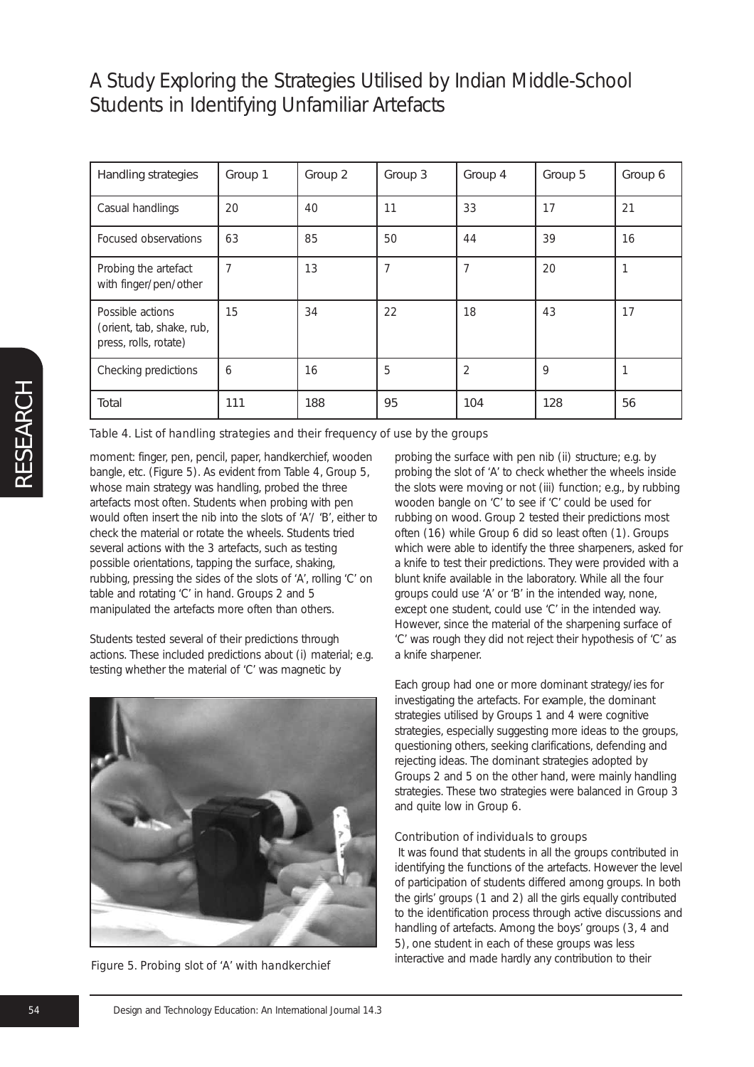| Handling strategies                                                    | Group 1 | Group 2 | Group 3 | Group 4        | Group 5 | Group 6 |
|------------------------------------------------------------------------|---------|---------|---------|----------------|---------|---------|
| Casual handlings                                                       | 20      | 40      | 11      | 33             | 17      | 21      |
| Focused observations                                                   | 63      | 85      | 50      | 44             | 39      | 16      |
| Probing the artefact<br>with finger/pen/other                          | 7       | 13      | 7       | 7              | 20      | 1       |
| Possible actions<br>(orient, tab, shake, rub,<br>press, rolls, rotate) | 15      | 34      | 22      | 18             | 43      | 17      |
| Checking predictions                                                   | 6       | 16      | 5       | $\overline{2}$ | 9       |         |
| Total                                                                  | 111     | 188     | 95      | 104            | 128     | 56      |

*Table 4. List of handling strategies and their frequency of use by the groups*

moment: finger, pen, pencil, paper, handkerchief, wooden bangle, etc. (Figure 5). As evident from Table 4, Group 5, whose main strategy was handling, probed the three artefacts most often. Students when probing with pen would often insert the nib into the slots of 'A'/ 'B', either to check the material or rotate the wheels. Students tried several actions with the 3 artefacts, such as testing possible orientations, tapping the surface, shaking, rubbing, pressing the sides of the slots of 'A', rolling 'C' on table and rotating 'C' in hand. Groups 2 and 5 manipulated the artefacts more often than others.

Students tested several of their predictions through actions. These included predictions about (i) material; e.g. testing whether the material of 'C' was magnetic by



*Figure 5. Probing slot of 'A' with handkerchief*

probing the surface with pen nib (ii) structure; e.g. by probing the slot of 'A' to check whether the wheels inside the slots were moving or not (iii) function; e.g., by rubbing wooden bangle on 'C' to see if 'C' could be used for rubbing on wood. Group 2 tested their predictions most often (16) while Group 6 did so least often (1). Groups which were able to identify the three sharpeners, asked for a knife to test their predictions. They were provided with a blunt knife available in the laboratory. While all the four groups could use 'A' or 'B' in the intended way, none, except one student, could use 'C' in the intended way. However, since the material of the sharpening surface of 'C' was rough they did not reject their hypothesis of 'C' as a knife sharpener.

Each group had one or more dominant strategy/ies for investigating the artefacts. For example, the dominant strategies utilised by Groups 1 and 4 were cognitive strategies, especially suggesting more ideas to the groups, questioning others, seeking clarifications, defending and rejecting ideas. The dominant strategies adopted by Groups 2 and 5 on the other hand, were mainly handling strategies. These two strategies were balanced in Group 3 and quite low in Group 6.

### *Contribution of individuals to groups*

It was found that students in all the groups contributed in identifying the functions of the artefacts. However the level of participation of students differed among groups. In both the girls' groups (1 and 2) all the girls equally contributed to the identification process through active discussions and handling of artefacts. Among the boys' groups (3, 4 and 5), one student in each of these groups was less interactive and made hardly any contribution to their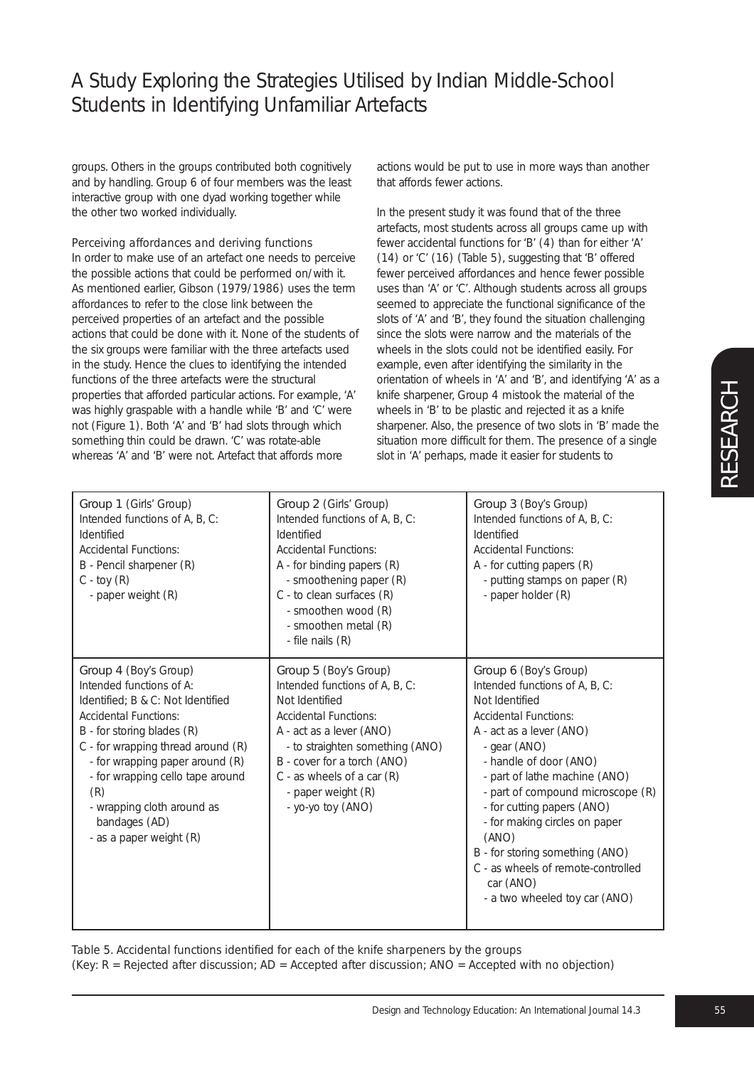groups. Others in the groups contributed both cognitively and by handling. Group 6 of four members was the least interactive group with one dyad working together while the other two worked individually.

## *Perceiving affordances and deriving functions*

In order to make use of an artefact one needs to perceive the possible actions that could be performed on/with it. As mentioned earlier, Gibson (1979/1986) uses the term *affordances* to refer to the close link between the perceived properties of an artefact and the possible actions that could be done with it. None of the students of the six groups were familiar with the three artefacts used in the study. Hence the clues to identifying the intended functions of the three artefacts were the structural properties that afforded particular actions. For example, 'A' was highly graspable with a handle while 'B' and 'C' were not (Figure 1). Both 'A' and 'B' had slots through which something thin could be drawn. 'C' was rotate-able whereas 'A' and 'B' were not. Artefact that affords more

actions would be put to use in more ways than another that affords fewer actions.

In the present study it was found that of the three artefacts, most students across all groups came up with fewer accidental functions for 'B' (4) than for either 'A' (14) or 'C' (16) (Table 5), suggesting that 'B' offered fewer perceived affordances and hence fewer possible uses than 'A' or 'C'. Although students across all groups seemed to appreciate the functional significance of the slots of 'A' and 'B', they found the situation challenging since the slots were narrow and the materials of the wheels in the slots could not be identified easily. For example, even after identifying the similarity in the orientation of wheels in 'A' and 'B', and identifying 'A' as a knife sharpener, Group 4 mistook the material of the wheels in 'B' to be plastic and rejected it as a knife sharpener. Also, the presence of two slots in 'B' made the situation more difficult for them. The presence of a single slot in 'A' perhaps, made it easier for students to

| Group 1 (Girls' Group)<br>Intended functions of A, B, C:<br>Identified<br><b>Accidental Functions:</b><br>B - Pencil sharpener (R)<br>$C - toy (R)$<br>- paper weight (R)                                                                                                                                                                   | Group 2 (Girls' Group)<br>Intended functions of A, B, C:<br>Identified<br><b>Accidental Functions:</b><br>$A$ - for binding papers $(R)$<br>- smoothening paper (R)<br>C - to clean surfaces (R)<br>- smoothen wood (R)<br>- smoothen metal (R)<br>- file nails (R)                  | Group 3 (Boy's Group)<br>Intended functions of A, B, C:<br>Identified<br><b>Accidental Functions:</b><br>A - for cutting papers (R)<br>- putting stamps on paper (R)<br>- paper holder (R)                                                                                                                                                                                                                                                           |
|---------------------------------------------------------------------------------------------------------------------------------------------------------------------------------------------------------------------------------------------------------------------------------------------------------------------------------------------|--------------------------------------------------------------------------------------------------------------------------------------------------------------------------------------------------------------------------------------------------------------------------------------|------------------------------------------------------------------------------------------------------------------------------------------------------------------------------------------------------------------------------------------------------------------------------------------------------------------------------------------------------------------------------------------------------------------------------------------------------|
| Group 4 (Boy's Group)<br>Intended functions of A:<br>Identified; B & C: Not Identified<br>Accidental Functions:<br>B - for storing blades (R)<br>C - for wrapping thread around (R)<br>- for wrapping paper around (R)<br>- for wrapping cello tape around<br>(R)<br>- wrapping cloth around as<br>bandages (AD)<br>- as a paper weight (R) | Group 5 (Boy's Group)<br>Intended functions of A, B, C:<br>Not Identified<br><b>Accidental Functions:</b><br>A - act as a lever (ANO)<br>- to straighten something (ANO)<br>B - cover for a torch (ANO)<br>$C - as$ wheels of a car $(R)$<br>- paper weight (R)<br>- yo-yo toy (ANO) | Group 6 (Boy's Group)<br>Intended functions of A, B, C:<br>Not Identified<br><b>Accidental Functions:</b><br>A - act as a lever (ANO)<br>- gear (ANO)<br>- handle of door (ANO)<br>- part of lathe machine (ANO)<br>- part of compound microscope (R)<br>- for cutting papers (ANO)<br>- for making circles on paper<br>(ANO)<br>B - for storing something (ANO)<br>C - as wheels of remote-controlled<br>car (ANO)<br>- a two wheeled toy car (ANO) |

*Table 5. Accidental functions identified for each of the knife sharpeners by the groups (Key: R = Rejected after discussion; AD = Accepted after discussion; ANO = Accepted with no objection)*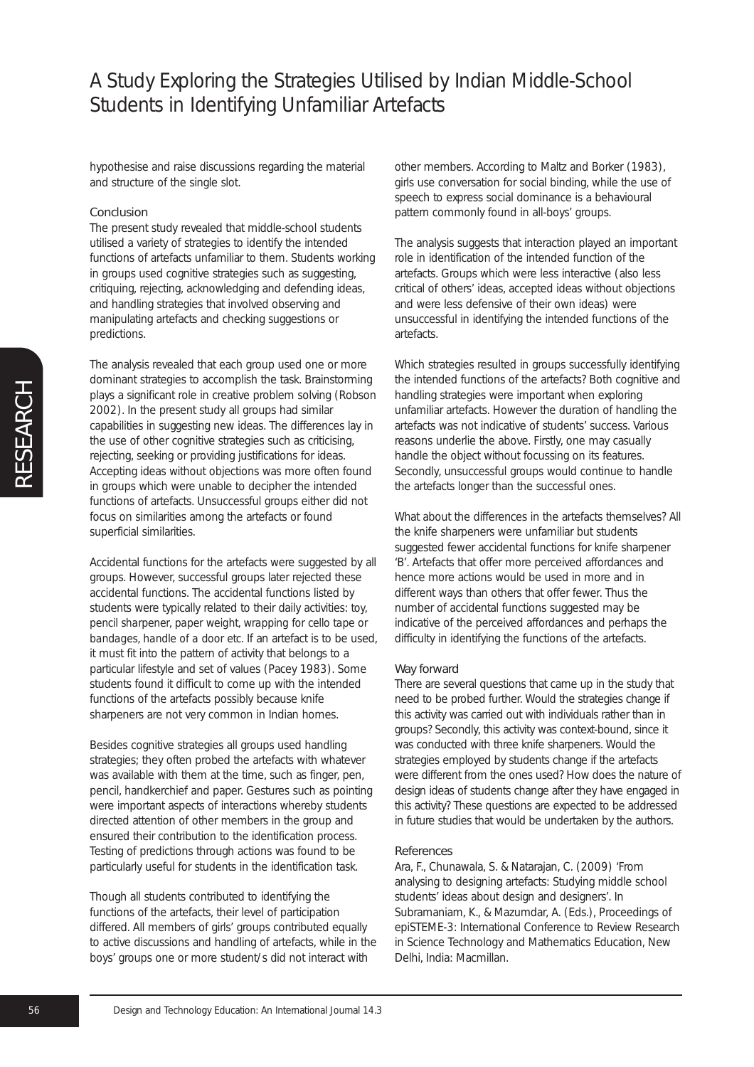hypothesise and raise discussions regarding the material and structure of the single slot.

### Conclusion

The present study revealed that middle-school students utilised a variety of strategies to identify the intended functions of artefacts unfamiliar to them. Students working in groups used cognitive strategies such as suggesting, critiquing, rejecting, acknowledging and defending ideas, and handling strategies that involved observing and manipulating artefacts and checking suggestions or predictions.

The analysis revealed that each group used one or more dominant strategies to accomplish the task. Brainstorming plays a significant role in creative problem solving (Robson 2002). In the present study all groups had similar capabilities in suggesting new ideas. The differences lay in the use of other cognitive strategies such as criticising. rejecting, seeking or providing justifications for ideas. Accepting ideas without objections was more often found in groups which were unable to decipher the intended functions of artefacts. Unsuccessful groups either did not focus on similarities among the artefacts or found superficial similarities.

Accidental functions for the artefacts were suggested by all groups. However, successful groups later rejected these accidental functions. The accidental functions listed by students were typically related to their daily activities: *toy, pencil sharpener, paper weight, wrapping for cello tape or bandages, handle of a door etc.* If an artefact is to be used, it must fit into the pattern of activity that belongs to a particular lifestyle and set of values (Pacey 1983). Some students found it difficult to come up with the intended functions of the artefacts possibly because knife sharpeners are not very common in Indian homes.

Besides cognitive strategies all groups used handling strategies; they often probed the artefacts with whatever was available with them at the time, such as finger, pen, pencil, handkerchief and paper. Gestures such as pointing were important aspects of interactions whereby students directed attention of other members in the group and ensured their contribution to the identification process. Testing of predictions through actions was found to be particularly useful for students in the identification task.

Though all students contributed to identifying the functions of the artefacts, their level of participation differed. All members of girls' groups contributed equally to active discussions and handling of artefacts, while in the boys' groups one or more student/s did not interact with

other members. According to Maltz and Borker (1983), girls use conversation for social binding, while the use of speech to express social dominance is a behavioural pattern commonly found in all-boys' groups.

The analysis suggests that interaction played an important role in identification of the intended function of the artefacts. Groups which were less interactive (also less critical of others' ideas, accepted ideas without objections and were less defensive of their own ideas) were unsuccessful in identifying the intended functions of the artefacts.

Which strategies resulted in groups successfully identifying the intended functions of the artefacts? Both cognitive and handling strategies were important when exploring unfamiliar artefacts. However the duration of handling the artefacts was not indicative of students' success. Various reasons underlie the above. Firstly, one may casually handle the object without focussing on its features. Secondly, unsuccessful groups would continue to handle the artefacts longer than the successful ones.

What about the differences in the artefacts themselves? All the knife sharpeners were unfamiliar but students suggested fewer accidental functions for knife sharpener 'B'. Artefacts that offer more perceived affordances and hence more actions would be used in more and in different ways than others that offer fewer. Thus the number of accidental functions suggested may be indicative of the perceived affordances and perhaps the difficulty in identifying the functions of the artefacts.

### Way forward

There are several questions that came up in the study that need to be probed further. Would the strategies change if this activity was carried out with individuals rather than in groups? Secondly, this activity was context-bound, since it was conducted with three knife sharpeners. Would the strategies employed by students change if the artefacts were different from the ones used? How does the nature of design ideas of students change after they have engaged in this activity? These questions are expected to be addressed in future studies that would be undertaken by the authors.

#### References

Ara, F., Chunawala, S. & Natarajan, C. (2009) 'From analysing to designing artefacts: Studying middle school students' ideas about design and designers'. In Subramaniam, K., & Mazumdar, A. (Eds.), Proceedings of epiSTEME-3: International Conference to Review Research in Science Technology and Mathematics Education, New Delhi, India: Macmillan.